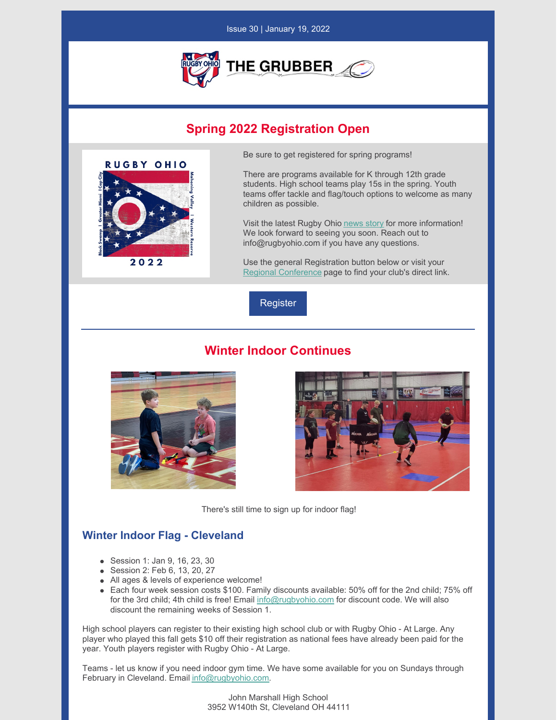

## **Spring 2022 Registration Open**



Be sure to get registered for spring programs!

There are programs available for K through 12th grade students. High school teams play 15s in the spring. Youth teams offer tackle and flag/touch options to welcome as many children as possible.

Visit the latest Rugby Ohio [news](https://rugbyohio.com/2022-spring-registration/) story for more information! We look forward to seeing you soon. Reach out to info@rugbyohio.com if you have any questions.

Use the general Registration button below or visit your Regional [Conference](https://rugbyohio.com/programs/regional-conferences/) page to find your club's direct link.



## **Winter Indoor Continues**





There's still time to sign up for indoor flag!

## **Winter Indoor Flag - Cleveland**

- Session 1: Jan 9, 16, 23, 30
- Session 2: Feb 6, 13, 20, 27
- All ages & levels of experience welcome!
- Each four week session costs \$100. Family discounts available: 50% off for the 2nd child; 75% off for the 3rd child; 4th child is free! Email [info@rugbyohio.com](mailto:info@rugbyohio.com) for discount code. We will also discount the remaining weeks of Session 1.

High school players can register to their existing high school club or with Rugby Ohio - At Large. Any player who played this fall gets \$10 off their registration as national fees have already been paid for the year. Youth players register with Rugby Ohio - At Large.

Teams - let us know if you need indoor gym time. We have some available for you on Sundays through February in Cleveland. Email [info@rugbyohio.com.](mailto:info@rugbyohio.com)

> John Marshall High School 3952 W140th St, Cleveland OH 44111